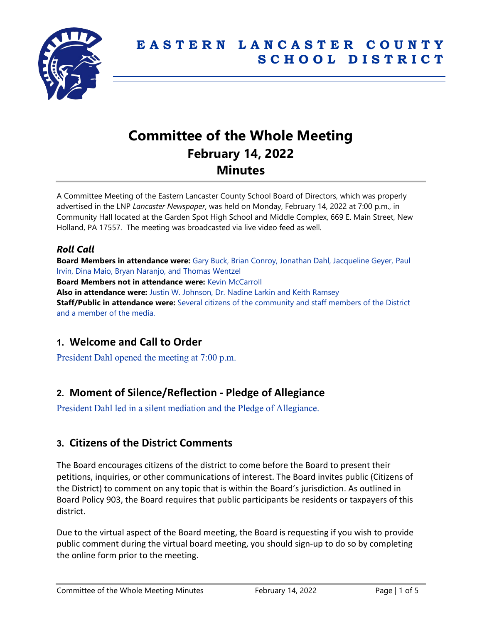

# **Committee of the Whole Meeting February 14, 2022 Minutes**

A Committee Meeting of the Eastern Lancaster County School Board of Directors, which was properly advertised in the LNP *Lancaster Newspaper*, was held on Monday, February 14, 2022 at 7:00 p.m., in Community Hall located at the Garden Spot High School and Middle Complex, 669 E. Main Street, New Holland, PA 17557. The meeting was broadcasted via live video feed as well.

## *Roll Call*

**Board Members in attendance were:** Gary Buck, Brian Conroy, Jonathan Dahl, Jacqueline Geyer, Paul Irvin, Dina Maio, Bryan Naranjo, and Thomas Wentzel **Board Members not in attendance were:** Kevin McCarroll **Also in attendance were:** Justin W. Johnson, Dr. Nadine Larkin and Keith Ramsey **Staff/Public in attendance were:** Several citizens of the community and staff members of the District and a member of the media.

## **1. Welcome and Call to Order**

President Dahl opened the meeting at 7:00 p.m.

## **2. Moment of Silence/Reflection - Pledge of Allegiance**

President Dahl led in a silent mediation and the Pledge of Allegiance.

## **3. Citizens of the District Comments**

The Board encourages citizens of the district to come before the Board to present their petitions, inquiries, or other communications of interest. The Board invites public (Citizens of the District) to comment on any topic that is within the Board's jurisdiction. As outlined in Board Policy 903, the Board requires that public participants be residents or taxpayers of this district.

Due to the virtual aspect of the Board meeting, the Board is requesting if you wish to provide public comment during the virtual board meeting, you should sign-up to do so by completing the online form prior to the meeting.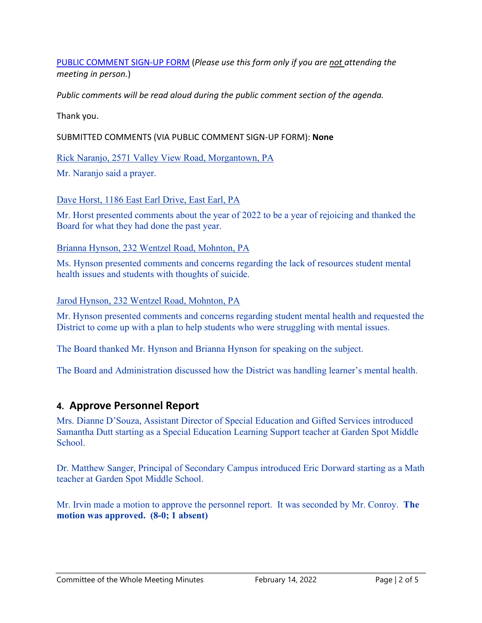[PUBLIC COMMENT SIGN-UP FORM](https://forms.gle/zDXXoX8rZQUxt1Ap6) (*Please use this form only if you are not attending the meeting in person.*)

*Public comments will be read aloud during the public comment section of the agenda.*

Thank you.

SUBMITTED COMMENTS (VIA PUBLIC COMMENT SIGN-UP FORM): **None**

Rick Naranjo, 2571 Valley View Road, Morgantown, PA

Mr. Naranjo said a prayer.

Dave Horst, 1186 East Earl Drive, East Earl, PA

Mr. Horst presented comments about the year of 2022 to be a year of rejoicing and thanked the Board for what they had done the past year.

Brianna Hynson, 232 Wentzel Road, Mohnton, PA

Ms. Hynson presented comments and concerns regarding the lack of resources student mental health issues and students with thoughts of suicide.

Jarod Hynson, 232 Wentzel Road, Mohnton, PA

Mr. Hynson presented comments and concerns regarding student mental health and requested the District to come up with a plan to help students who were struggling with mental issues.

The Board thanked Mr. Hynson and Brianna Hynson for speaking on the subject.

The Board and Administration discussed how the District was handling learner's mental health.

## **4. Approve Personnel Report**

Mrs. Dianne D'Souza, Assistant Director of Special Education and Gifted Services introduced Samantha Dutt starting as a Special Education Learning Support teacher at Garden Spot Middle School.

Dr. Matthew Sanger, Principal of Secondary Campus introduced Eric Dorward starting as a Math teacher at Garden Spot Middle School.

Mr. Irvin made a motion to approve the personnel report. It was seconded by Mr. Conroy. **The motion was approved. (8-0; 1 absent)**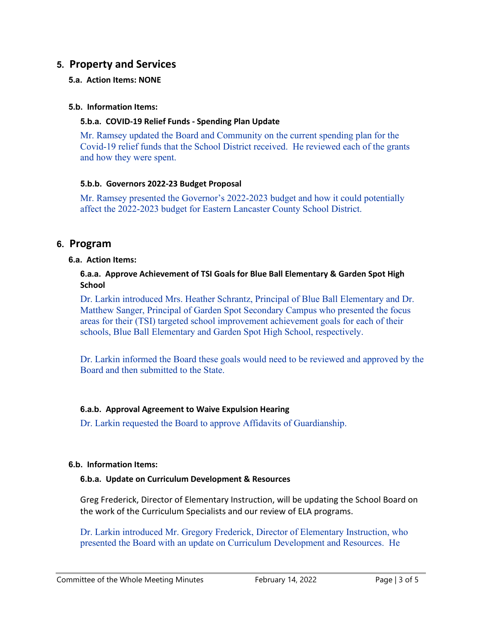## **5. Property and Services**

#### **5.a. Action Items: NONE**

#### **5.b. Information Items:**

#### **5.b.a. COVID-19 Relief Funds - Spending Plan Update**

Mr. Ramsey updated the Board and Community on the current spending plan for the Covid-19 relief funds that the School District received. He reviewed each of the grants and how they were spent.

#### **5.b.b. Governors 2022-23 Budget Proposal**

Mr. Ramsey presented the Governor's 2022-2023 budget and how it could potentially affect the 2022-2023 budget for Eastern Lancaster County School District.

### **6. Program**

#### **6.a. Action Items:**

#### **6.a.a. Approve Achievement of TSI Goals for Blue Ball Elementary & Garden Spot High School**

Dr. Larkin introduced Mrs. Heather Schrantz, Principal of Blue Ball Elementary and Dr. Matthew Sanger, Principal of Garden Spot Secondary Campus who presented the focus areas for their (TSI) targeted school improvement achievement goals for each of their schools, Blue Ball Elementary and Garden Spot High School, respectively.

Dr. Larkin informed the Board these goals would need to be reviewed and approved by the Board and then submitted to the State.

#### **6.a.b. Approval Agreement to Waive Expulsion Hearing**

Dr. Larkin requested the Board to approve Affidavits of Guardianship.

#### **6.b. Information Items:**

#### **6.b.a. Update on Curriculum Development & Resources**

Greg Frederick, Director of Elementary Instruction, will be updating the School Board on the work of the Curriculum Specialists and our review of ELA programs.

Dr. Larkin introduced Mr. Gregory Frederick, Director of Elementary Instruction, who presented the Board with an update on Curriculum Development and Resources. He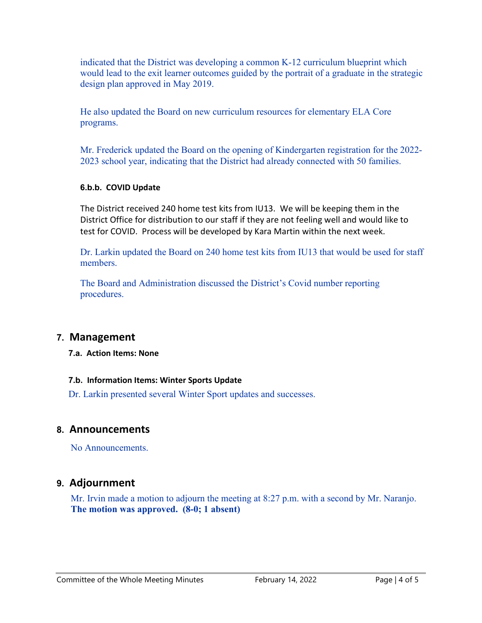indicated that the District was developing a common K-12 curriculum blueprint which would lead to the exit learner outcomes guided by the portrait of a graduate in the strategic design plan approved in May 2019.

He also updated the Board on new curriculum resources for elementary ELA Core programs.

Mr. Frederick updated the Board on the opening of Kindergarten registration for the 2022- 2023 school year, indicating that the District had already connected with 50 families.

#### **6.b.b. COVID Update**

The District received 240 home test kits from IU13. We will be keeping them in the District Office for distribution to our staff if they are not feeling well and would like to test for COVID. Process will be developed by Kara Martin within the next week.

Dr. Larkin updated the Board on 240 home test kits from IU13 that would be used for staff members.

The Board and Administration discussed the District's Covid number reporting procedures.

## **7. Management**

**7.a. Action Items: None**

#### **7.b. Information Items: Winter Sports Update**

Dr. Larkin presented several Winter Sport updates and successes.

### **8. Announcements**

No Announcements.

## **9. Adjournment**

Mr. Irvin made a motion to adjourn the meeting at 8:27 p.m. with a second by Mr. Naranjo. **The motion was approved. (8-0; 1 absent)**